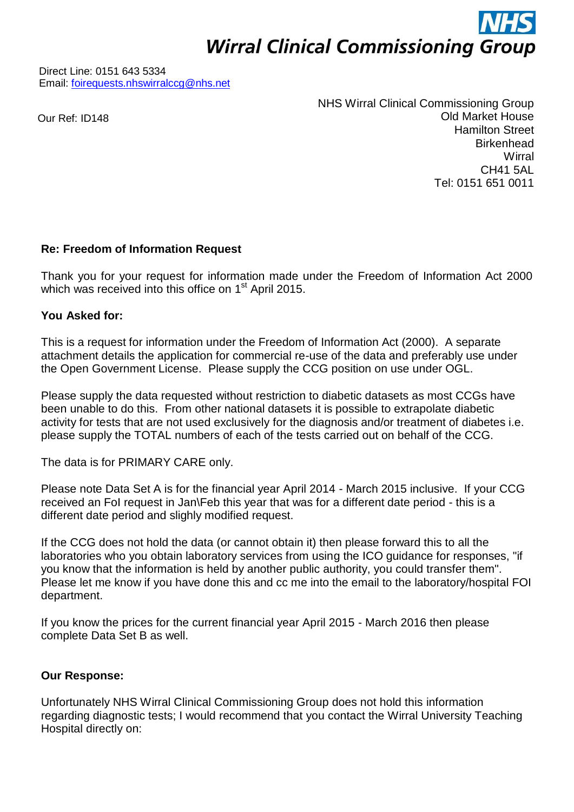**Wirral Clinical Commissioning Group** 

Direct Line: 0151 643 5334 Email: [foirequests.nhswirralccg@nhs.net](mailto:foirequests.nhswirralccg@nhs.net)

Our Ref: ID148

NHS Wirral Clinical Commissioning Group Old Market House Hamilton Street **Birkenhead Wirral** CH41 5AL Tel: 0151 651 0011

## **Re: Freedom of Information Request**

Thank you for your request for information made under the Freedom of Information Act 2000 which was received into this office on 1<sup>st</sup> April 2015.

## **You Asked for:**

This is a request for information under the Freedom of Information Act (2000). A separate attachment details the application for commercial re-use of the data and preferably use under the Open Government License. Please supply the CCG position on use under OGL.

Please supply the data requested without restriction to diabetic datasets as most CCGs have been unable to do this. From other national datasets it is possible to extrapolate diabetic activity for tests that are not used exclusively for the diagnosis and/or treatment of diabetes i.e. please supply the TOTAL numbers of each of the tests carried out on behalf of the CCG.

The data is for PRIMARY CARE only.

Please note Data Set A is for the financial year April 2014 - March 2015 inclusive. If your CCG received an FoI request in Jan\Feb this year that was for a different date period - this is a different date period and slighly modified request.

If the CCG does not hold the data (or cannot obtain it) then please forward this to all the laboratories who you obtain laboratory services from using the ICO guidance for responses, "if you know that the information is held by another public authority, you could transfer them". Please let me know if you have done this and cc me into the email to the laboratory/hospital FOI department.

If you know the prices for the current financial year April 2015 - March 2016 then please complete Data Set B as well.

## **Our Response:**

Unfortunately NHS Wirral Clinical Commissioning Group does not hold this information regarding diagnostic tests; I would recommend that you contact the Wirral University Teaching Hospital directly on: